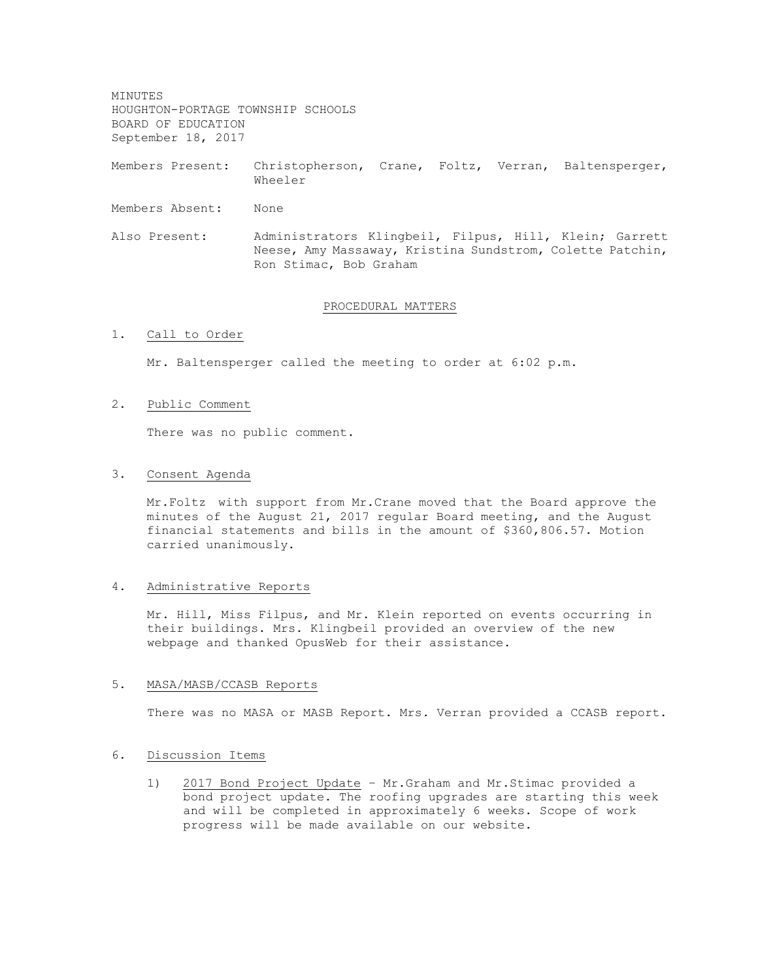MINUTES HOUGHTON-PORTAGE TOWNSHIP SCHOOLS BOARD OF EDUCATION September 18, 2017

Members Present: Christopherson, Crane, Foltz, Verran, Baltensperger, Wheeler

- Members Absent: None
- Also Present: Administrators Klingbeil, Filpus, Hill, Klein; Garrett Neese, Amy Massaway, Kristina Sundstrom, Colette Patchin, Ron Stimac, Bob Graham

#### PROCEDURAL MATTERS

1. Call to Order

Mr. Baltensperger called the meeting to order at 6:02 p.m.

### 2. Public Comment

There was no public comment.

## 3. Consent Agenda

Mr.Foltz with support from Mr.Crane moved that the Board approve the minutes of the August 21, 2017 regular Board meeting, and the August financial statements and bills in the amount of \$360,806.57. Motion carried unanimously.

## 4. Administrative Reports

Mr. Hill, Miss Filpus, and Mr. Klein reported on events occurring in their buildings. Mrs. Klingbeil provided an overview of the new webpage and thanked OpusWeb for their assistance.

#### 5. MASA/MASB/CCASB Reports

There was no MASA or MASB Report. Mrs. Verran provided a CCASB report.

## 6. Discussion Items

1) 2017 Bond Project Update – Mr.Graham and Mr.Stimac provided a bond project update. The roofing upgrades are starting this week and will be completed in approximately 6 weeks. Scope of work progress will be made available on our website.